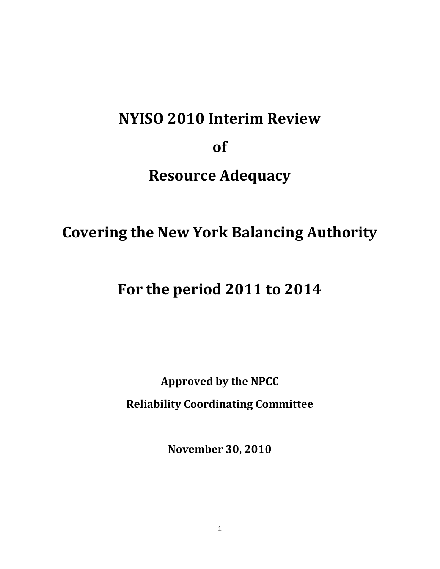# **NYISO 2010 Interim Review of Resource Adequacy**

# **Covering the New York Balancing Authority**

# **For the period 2011 to 2014**

**Approved by the NPCC Reliability Coordinating Committee**

**November 30, 2010**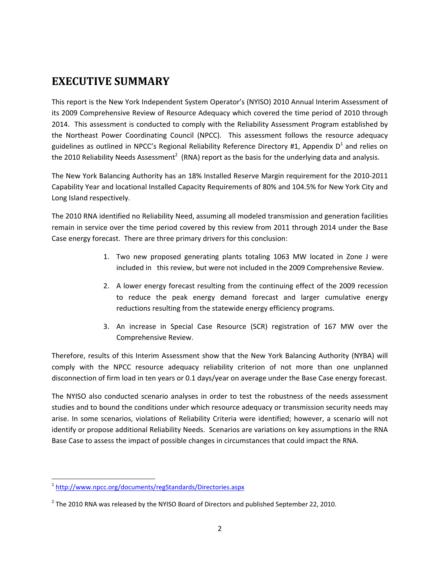## **EXECUTIVE SUMMARY**

This report is the New York Independent System Operator's (NYISO) 2010 Annual Interim Assessment of its 2009 Comprehensive Review of Resource Adequacy which covered the time period of 2010 through 2014. This assessment is conducted to comply with the Reliability Assessment Program established by the Northeast Power Coordinating Council (NPCC). This assessment follows the resource adequacy guidelines as outlined in NPCC's Regional Reliability Reference Directory #1, Appendix  $D^1$  and relies on the 2010 Reliability Needs Assessment<sup>2</sup> (RNA) report as the basis for the underlying data and analysis.

The New York Balancing Authority has an 18% Installed Reserve Margin requirement for the 2010‐2011 Capability Year and locational Installed Capacity Requirements of 80% and 104.5% for New York City and Long Island respectively.

The 2010 RNA identified no Reliability Need, assuming all modeled transmission and generation facilities remain in service over the time period covered by this review from 2011 through 2014 under the Base Case energy forecast. There are three primary drivers for this conclusion:

- 1. Two new proposed generating plants totaling 1063 MW located in Zone J were included in this review, but were not included in the 2009 Comprehensive Review.
- 2. A lower energy forecast resulting from the continuing effect of the 2009 recession to reduce the peak energy demand forecast and larger cumulative energy reductions resulting from the statewide energy efficiency programs.
- 3. An increase in Special Case Resource (SCR) registration of 167 MW over the Comprehensive Review.

Therefore, results of this Interim Assessment show that the New York Balancing Authority (NYBA) will comply with the NPCC resource adequacy reliability criterion of not more than one unplanned disconnection of firm load in ten years or 0.1 days/year on average under the Base Case energy forecast.

The NYISO also conducted scenario analyses in order to test the robustness of the needs assessment studies and to bound the conditions under which resource adequacy or transmission security needs may arise. In some scenarios, violations of Reliability Criteria were identified; however, a scenario will not identify or propose additional Reliability Needs. Scenarios are variations on key assumptions in the RNA Base Case to assess the impact of possible changes in circumstances that could impact the RNA.

 <sup>1</sup> http://www.npcc.org/documents/regStandards/Directories.aspx

 $<sup>2</sup>$  The 2010 RNA was released by the NYISO Board of Directors and published September 22, 2010.</sup>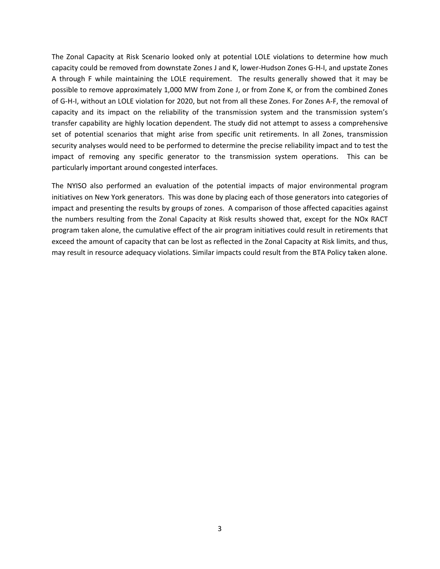The Zonal Capacity at Risk Scenario looked only at potential LOLE violations to determine how much capacity could be removed from downstate Zones J and K, lower‐Hudson Zones G‐H‐I, and upstate Zones A through F while maintaining the LOLE requirement. The results generally showed that it may be possible to remove approximately 1,000 MW from Zone J, or from Zone K, or from the combined Zones of G‐H‐I, without an LOLE violation for 2020, but not from all these Zones. For Zones A‐F, the removal of capacity and its impact on the reliability of the transmission system and the transmission system's transfer capability are highly location dependent. The study did not attempt to assess a comprehensive set of potential scenarios that might arise from specific unit retirements. In all Zones, transmission security analyses would need to be performed to determine the precise reliability impact and to test the impact of removing any specific generator to the transmission system operations. This can be particularly important around congested interfaces.

The NYISO also performed an evaluation of the potential impacts of major environmental program initiatives on New York generators. This was done by placing each of those generators into categories of impact and presenting the results by groups of zones. A comparison of those affected capacities against the numbers resulting from the Zonal Capacity at Risk results showed that, except for the NOx RACT program taken alone, the cumulative effect of the air program initiatives could result in retirements that exceed the amount of capacity that can be lost as reflected in the Zonal Capacity at Risk limits, and thus, may result in resource adequacy violations. Similar impacts could result from the BTA Policy taken alone.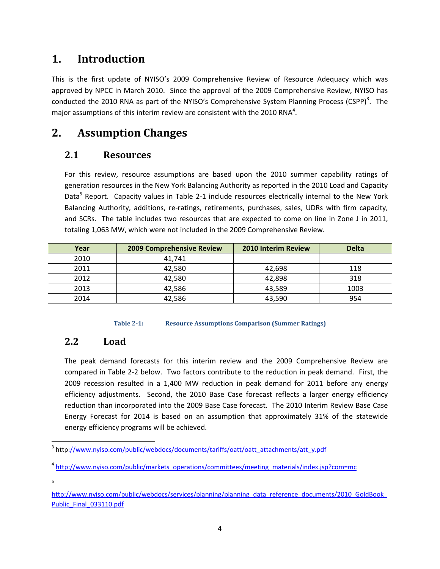## **1. Introduction**

This is the first update of NYISO's 2009 Comprehensive Review of Resource Adequacy which was approved by NPCC in March 2010. Since the approval of the 2009 Comprehensive Review, NYISO has conducted the 2010 RNA as part of the NYISO's Comprehensive System Planning Process (CSPP)<sup>3</sup>. The major assumptions of this interim review are consistent with the 2010 RNA<sup>4</sup>.

### **2. Assumption Changes**

#### **2.1 Resources**

For this review, resource assumptions are based upon the 2010 summer capability ratings of generation resources in the New York Balancing Authority as reported in the 2010 Load and Capacity Data<sup>5</sup> Report. Capacity values in Table 2-1 include resources electrically internal to the New York Balancing Authority, additions, re-ratings, retirements, purchases, sales, UDRs with firm capacity, and SCRs. The table includes two resources that are expected to come on line in Zone J in 2011, totaling 1,063 MW, which were not included in the 2009 Comprehensive Review.

| Year | <b>2009 Comprehensive Review</b> | <b>2010 Interim Review</b> | <b>Delta</b> |
|------|----------------------------------|----------------------------|--------------|
| 2010 | 41,741                           |                            |              |
| 2011 | 42,580                           | 42,698                     | 118          |
| 2012 | 42,580                           | 42,898                     | 318          |
| 2013 | 42,586                           | 43,589                     | 1003         |
| 2014 | 42,586                           | 43,590                     | 954          |

#### **Table 21: Resource Assumptions Comparison (Summer Ratings)**

#### **2.2 Load**

The peak demand forecasts for this interim review and the 2009 Comprehensive Review are compared in Table 2‐2 below. Two factors contribute to the reduction in peak demand. First, the 2009 recession resulted in a 1,400 MW reduction in peak demand for 2011 before any energy efficiency adjustments. Second, the 2010 Base Case forecast reflects a larger energy efficiency reduction than incorporated into the 2009 Base Case forecast. The 2010 Interim Review Base Case Energy Forecast for 2014 is based on an assumption that approximately 31% of the statewide energy efficiency programs will be achieved.

 <sup>3</sup> http://www.nyiso.com/public/webdocs/documents/tariffs/oatt/oatt\_attachments/att\_y.pdf

<sup>&</sup>lt;sup>4</sup> http://www.nyiso.com/public/markets\_operations/committees/meeting\_materials/index.jsp?com=mc

<sup>5</sup>

http://www.nyiso.com/public/webdocs/services/planning/planning\_data\_reference\_documents/2010\_GoldBook\_ Public\_Final\_033110.pdf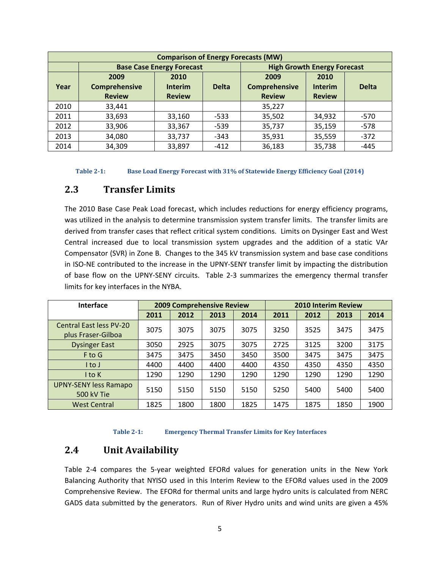| <b>Comparison of Energy Forecasts (MW)</b> |                                  |                |              |                                    |                |              |
|--------------------------------------------|----------------------------------|----------------|--------------|------------------------------------|----------------|--------------|
|                                            | <b>Base Case Energy Forecast</b> |                |              | <b>High Growth Energy Forecast</b> |                |              |
|                                            | 2009                             | 2010           |              | 2009                               | 2010           |              |
| Year                                       | Comprehensive                    | <b>Interim</b> | <b>Delta</b> | Comprehensive                      | <b>Interim</b> | <b>Delta</b> |
|                                            | <b>Review</b>                    | <b>Review</b>  |              | <b>Review</b>                      | <b>Review</b>  |              |
| 2010                                       | 33,441                           |                |              | 35,227                             |                |              |
| 2011                                       | 33,693                           | 33,160         | $-533$       | 35,502                             | 34,932         | $-570$       |
| 2012                                       | 33,906                           | 33,367         | $-539$       | 35,737                             | 35,159         | $-578$       |
| 2013                                       | 34,080                           | 33,737         | $-343$       | 35,931                             | 35,559         | $-372$       |
| 2014                                       | 34,309                           | 33,897         | $-412$       | 36,183                             | 35,738         | $-445$       |

**Table 21: Base Load Energy Forecast with 31% of Statewide Energy Efficiency Goal (2014)**

#### **2.3 Transfer Limits**

The 2010 Base Case Peak Load forecast, which includes reductions for energy efficiency programs, was utilized in the analysis to determine transmission system transfer limits. The transfer limits are derived from transfer cases that reflect critical system conditions. Limits on Dysinger East and West Central increased due to local transmission system upgrades and the addition of a static VAr Compensator (SVR) in Zone B. Changes to the 345 kV transmission system and base case conditions in ISO‐NE contributed to the increase in the UPNY‐SENY transfer limit by impacting the distribution of base flow on the UPNY‐SENY circuits. Table 2‐3 summarizes the emergency thermal transfer limits for key interfaces in the NYBA.

| <b>Interface</b>                                     | <b>2009 Comprehensive Review</b> |      |      | <b>2010 Interim Review</b> |      |      |      |      |
|------------------------------------------------------|----------------------------------|------|------|----------------------------|------|------|------|------|
|                                                      | 2011                             | 2012 | 2013 | 2014                       | 2011 | 2012 | 2013 | 2014 |
| <b>Central East less PV-20</b><br>plus Fraser-Gilboa | 3075                             | 3075 | 3075 | 3075                       | 3250 | 3525 | 3475 | 3475 |
| <b>Dysinger East</b>                                 | 3050                             | 2925 | 3075 | 3075                       | 2725 | 3125 | 3200 | 3175 |
| F to G                                               | 3475                             | 3475 | 3450 | 3450                       | 3500 | 3475 | 3475 | 3475 |
| I to J                                               | 4400                             | 4400 | 4400 | 4400                       | 4350 | 4350 | 4350 | 4350 |
| I to K                                               | 1290                             | 1290 | 1290 | 1290                       | 1290 | 1290 | 1290 | 1290 |
| <b>UPNY-SENY less Ramapo</b><br>500 kV Tie           | 5150                             | 5150 | 5150 | 5150                       | 5250 | 5400 | 5400 | 5400 |
| <b>West Central</b>                                  | 1825                             | 1800 | 1800 | 1825                       | 1475 | 1875 | 1850 | 1900 |

**Table 21: Emergency Thermal Transfer Limits for Key Interfaces**

#### **2.4 Unit Availability**

Table 2‐4 compares the 5‐year weighted EFORd values for generation units in the New York Balancing Authority that NYISO used in this Interim Review to the EFORd values used in the 2009 Comprehensive Review. The EFORd for thermal units and large hydro units is calculated from NERC GADS data submitted by the generators. Run of River Hydro units and wind units are given a 45%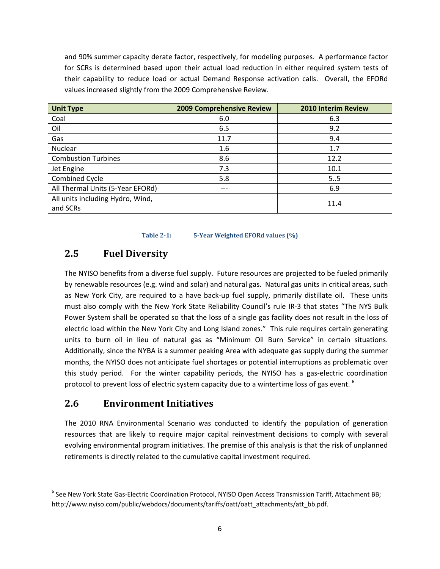and 90% summer capacity derate factor, respectively, for modeling purposes. A performance factor for SCRs is determined based upon their actual load reduction in either required system tests of their capability to reduce load or actual Demand Response activation calls. Overall, the EFORd values increased slightly from the 2009 Comprehensive Review.

| <b>Unit Type</b>                             | <b>2009 Comprehensive Review</b> | <b>2010 Interim Review</b> |
|----------------------------------------------|----------------------------------|----------------------------|
| Coal                                         | 6.0                              | 6.3                        |
| Oil                                          | 6.5                              | 9.2                        |
| Gas                                          | 11.7                             | 9.4                        |
| Nuclear                                      | 1.6                              | 1.7                        |
| <b>Combustion Turbines</b>                   | 8.6                              | 12.2                       |
| Jet Engine                                   | 7.3                              | 10.1                       |
| <b>Combined Cycle</b>                        | 5.8                              | 5.5                        |
| All Thermal Units (5-Year EFORd)             | ---                              | 6.9                        |
| All units including Hydro, Wind,<br>and SCRs |                                  | 11.4                       |

**Table 21: 5Year Weighted EFORd values (%)**

#### **2.5 Fuel Diversity**

The NYISO benefits from a diverse fuel supply. Future resources are projected to be fueled primarily by renewable resources (e.g. wind and solar) and natural gas. Natural gas units in critical areas, such as New York City, are required to a have back-up fuel supply, primarily distillate oil. These units must also comply with the New York State Reliability Council's rule IR‐3 that states "The NYS Bulk Power System shall be operated so that the loss of a single gas facility does not result in the loss of electric load within the New York City and Long Island zones." This rule requires certain generating units to burn oil in lieu of natural gas as "Minimum Oil Burn Service" in certain situations. Additionally, since the NYBA is a summer peaking Area with adequate gas supply during the summer months, the NYISO does not anticipate fuel shortages or potential interruptions as problematic over this study period. For the winter capability periods, the NYISO has a gas-electric coordination protocol to prevent loss of electric system capacity due to a wintertime loss of gas event.  $^6$ 

#### **2.6 Environment Initiatives**

The 2010 RNA Environmental Scenario was conducted to identify the population of generation resources that are likely to require major capital reinvestment decisions to comply with several evolving environmental program initiatives. The premise of this analysis is that the risk of unplanned retirements is directly related to the cumulative capital investment required.

<sup>&</sup>lt;sup>6</sup> See New York State Gas-Electric Coordination Protocol, NYISO Open Access Transmission Tariff, Attachment BB; http://www.nyiso.com/public/webdocs/documents/tariffs/oatt/oatt\_attachments/att\_bb.pdf.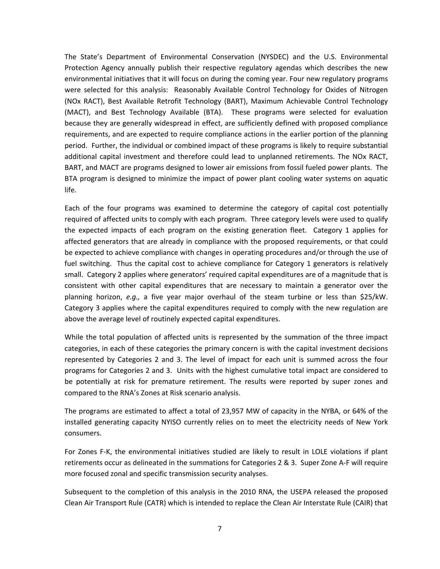The State's Department of Environmental Conservation (NYSDEC) and the U.S. Environmental Protection Agency annually publish their respective regulatory agendas which describes the new environmental initiatives that it will focus on during the coming year. Four new regulatory programs were selected for this analysis: Reasonably Available Control Technology for Oxides of Nitrogen (NOx RACT), Best Available Retrofit Technology (BART), Maximum Achievable Control Technology (MACT), and Best Technology Available (BTA). These programs were selected for evaluation because they are generally widespread in effect, are sufficiently defined with proposed compliance requirements, and are expected to require compliance actions in the earlier portion of the planning period. Further, the individual or combined impact of these programs is likely to require substantial additional capital investment and therefore could lead to unplanned retirements. The NOx RACT, BART, and MACT are programs designed to lower air emissions from fossil fueled power plants. The BTA program is designed to minimize the impact of power plant cooling water systems on aquatic life.

Each of the four programs was examined to determine the category of capital cost potentially required of affected units to comply with each program. Three category levels were used to qualify the expected impacts of each program on the existing generation fleet. Category 1 applies for affected generators that are already in compliance with the proposed requirements, or that could be expected to achieve compliance with changes in operating procedures and/or through the use of fuel switching. Thus the capital cost to achieve compliance for Category 1 generators is relatively small. Category 2 applies where generators' required capital expenditures are of a magnitude that is consistent with other capital expenditures that are necessary to maintain a generator over the planning horizon, *e.g.,* a five year major overhaul of the steam turbine or less than \$25/kW. Category 3 applies where the capital expenditures required to comply with the new regulation are above the average level of routinely expected capital expenditures.

While the total population of affected units is represented by the summation of the three impact categories, in each of these categories the primary concern is with the capital investment decisions represented by Categories 2 and 3. The level of impact for each unit is summed across the four programs for Categories 2 and 3. Units with the highest cumulative total impact are considered to be potentially at risk for premature retirement. The results were reported by super zones and compared to the RNA's Zones at Risk scenario analysis.

The programs are estimated to affect a total of 23,957 MW of capacity in the NYBA, or 64% of the installed generating capacity NYISO currently relies on to meet the electricity needs of New York consumers.

For Zones F‐K, the environmental initiatives studied are likely to result in LOLE violations if plant retirements occur as delineated in the summations for Categories 2 & 3. Super Zone A‐F will require more focused zonal and specific transmission security analyses.

Subsequent to the completion of this analysis in the 2010 RNA, the USEPA released the proposed Clean Air Transport Rule (CATR) which is intended to replace the Clean Air Interstate Rule (CAIR) that